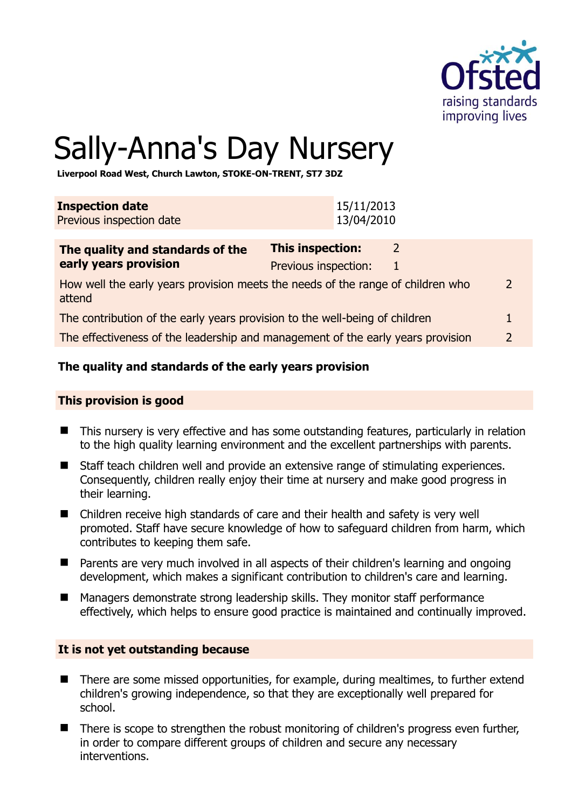

# Sally-Anna's Day Nursery

**Liverpool Road West, Church Lawton, STOKE-ON-TRENT, ST7 3DZ** 

| <b>Inspection date</b>   | 15/11/2013 |
|--------------------------|------------|
| Previous inspection date | 13/04/2010 |
|                          |            |

| The quality and standards of the                                                          | This inspection:     |               |
|-------------------------------------------------------------------------------------------|----------------------|---------------|
| early years provision                                                                     | Previous inspection: |               |
| How well the early years provision meets the needs of the range of children who<br>attend |                      | $\mathcal{L}$ |
| The contribution of the early years provision to the well-being of children               |                      |               |
| The effectiveness of the leadership and management of the early years provision           |                      | 2             |

# **The quality and standards of the early years provision**

#### **This provision is good**

- This nursery is very effective and has some outstanding features, particularly in relation to the high quality learning environment and the excellent partnerships with parents.
- Staff teach children well and provide an extensive range of stimulating experiences. Consequently, children really enjoy their time at nursery and make good progress in their learning.
- Children receive high standards of care and their health and safety is very well promoted. Staff have secure knowledge of how to safeguard children from harm, which contributes to keeping them safe.
- Parents are very much involved in all aspects of their children's learning and ongoing development, which makes a significant contribution to children's care and learning.
- Managers demonstrate strong leadership skills. They monitor staff performance effectively, which helps to ensure good practice is maintained and continually improved.

#### **It is not yet outstanding because**

- There are some missed opportunities, for example, during mealtimes, to further extend children's growing independence, so that they are exceptionally well prepared for school.
- There is scope to strengthen the robust monitoring of children's progress even further, in order to compare different groups of children and secure any necessary interventions.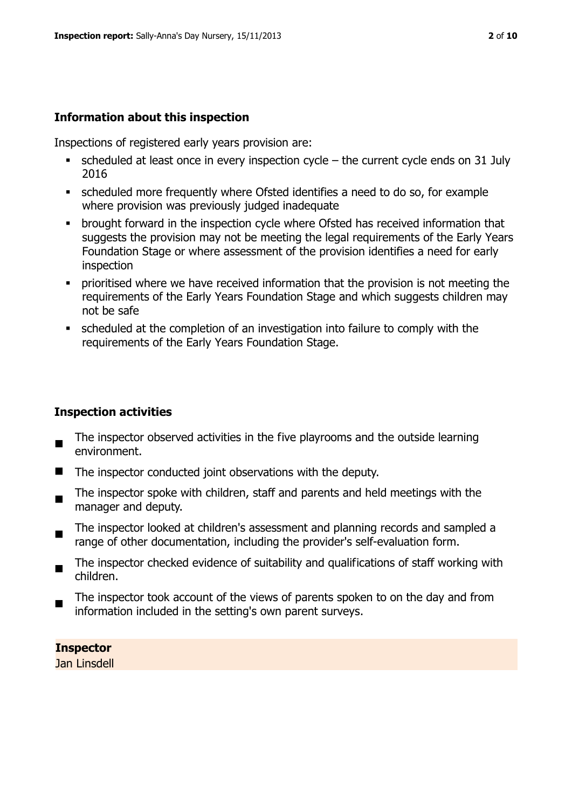#### **Information about this inspection**

Inspections of registered early years provision are:

- $\bullet$  scheduled at least once in every inspection cycle the current cycle ends on 31 July 2016
- scheduled more frequently where Ofsted identifies a need to do so, for example where provision was previously judged inadequate
- **•** brought forward in the inspection cycle where Ofsted has received information that suggests the provision may not be meeting the legal requirements of the Early Years Foundation Stage or where assessment of the provision identifies a need for early inspection
- **Prioritised where we have received information that the provision is not meeting the** requirements of the Early Years Foundation Stage and which suggests children may not be safe
- scheduled at the completion of an investigation into failure to comply with the requirements of the Early Years Foundation Stage.

#### **Inspection activities**

- The inspector observed activities in the five playrooms and the outside learning environment.
- The inspector conducted joint observations with the deputy.
- $\blacksquare$ The inspector spoke with children, staff and parents and held meetings with the manager and deputy.
- $\blacksquare$ The inspector looked at children's assessment and planning records and sampled a range of other documentation, including the provider's self-evaluation form.
- $\blacksquare$ The inspector checked evidence of suitability and qualifications of staff working with children.
- The inspector took account of the views of parents spoken to on the day and from information included in the setting's own parent surveys.

**Inspector**  Jan Linsdell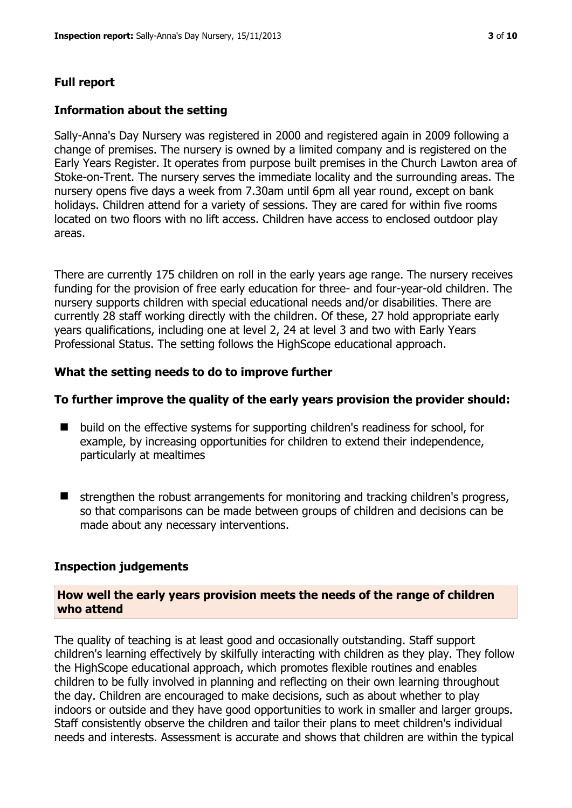## **Full report**

#### **Information about the setting**

Sally-Anna's Day Nursery was registered in 2000 and registered again in 2009 following a change of premises. The nursery is owned by a limited company and is registered on the Early Years Register. It operates from purpose built premises in the Church Lawton area of Stoke-on-Trent. The nursery serves the immediate locality and the surrounding areas. The nursery opens five days a week from 7.30am until 6pm all year round, except on bank holidays. Children attend for a variety of sessions. They are cared for within five rooms located on two floors with no lift access. Children have access to enclosed outdoor play areas.

There are currently 175 children on roll in the early years age range. The nursery receives funding for the provision of free early education for three- and four-year-old children. The nursery supports children with special educational needs and/or disabilities. There are currently 28 staff working directly with the children. Of these, 27 hold appropriate early years qualifications, including one at level 2, 24 at level 3 and two with Early Years Professional Status. The setting follows the HighScope educational approach.

#### **What the setting needs to do to improve further**

#### **To further improve the quality of the early years provision the provider should:**

- build on the effective systems for supporting children's readiness for school, for example, by increasing opportunities for children to extend their independence, particularly at mealtimes
- $\blacksquare$  strengthen the robust arrangements for monitoring and tracking children's progress, so that comparisons can be made between groups of children and decisions can be made about any necessary interventions.

#### **Inspection judgements**

#### **How well the early years provision meets the needs of the range of children who attend**

The quality of teaching is at least good and occasionally outstanding. Staff support children's learning effectively by skilfully interacting with children as they play. They follow the HighScope educational approach, which promotes flexible routines and enables children to be fully involved in planning and reflecting on their own learning throughout the day. Children are encouraged to make decisions, such as about whether to play indoors or outside and they have good opportunities to work in smaller and larger groups. Staff consistently observe the children and tailor their plans to meet children's individual needs and interests. Assessment is accurate and shows that children are within the typical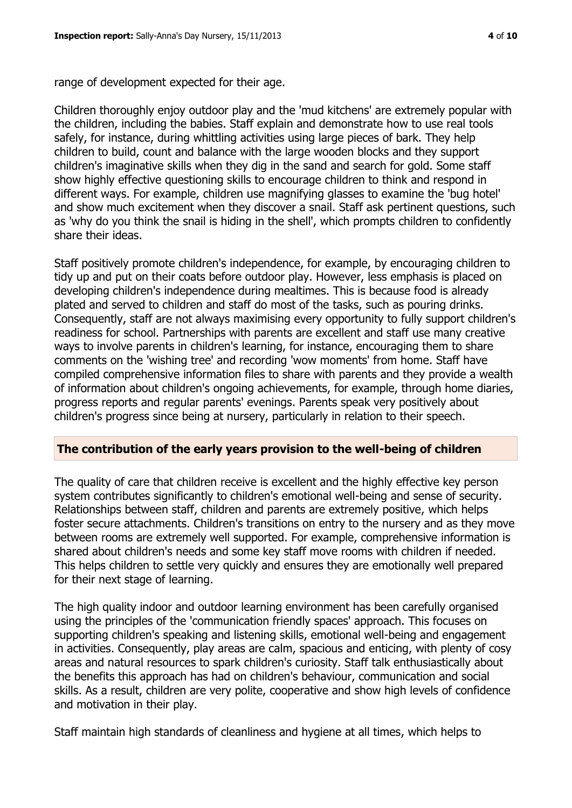range of development expected for their age.

Children thoroughly enjoy outdoor play and the 'mud kitchens' are extremely popular with the children, including the babies. Staff explain and demonstrate how to use real tools safely, for instance, during whittling activities using large pieces of bark. They help children to build, count and balance with the large wooden blocks and they support children's imaginative skills when they dig in the sand and search for gold. Some staff show highly effective questioning skills to encourage children to think and respond in different ways. For example, children use magnifying glasses to examine the 'bug hotel' and show much excitement when they discover a snail. Staff ask pertinent questions, such as 'why do you think the snail is hiding in the shell', which prompts children to confidently share their ideas.

Staff positively promote children's independence, for example, by encouraging children to tidy up and put on their coats before outdoor play. However, less emphasis is placed on developing children's independence during mealtimes. This is because food is already plated and served to children and staff do most of the tasks, such as pouring drinks. Consequently, staff are not always maximising every opportunity to fully support children's readiness for school. Partnerships with parents are excellent and staff use many creative ways to involve parents in children's learning, for instance, encouraging them to share comments on the 'wishing tree' and recording 'wow moments' from home. Staff have compiled comprehensive information files to share with parents and they provide a wealth of information about children's ongoing achievements, for example, through home diaries, progress reports and regular parents' evenings. Parents speak very positively about children's progress since being at nursery, particularly in relation to their speech.

#### **The contribution of the early years provision to the well-being of children**

The quality of care that children receive is excellent and the highly effective key person system contributes significantly to children's emotional well-being and sense of security. Relationships between staff, children and parents are extremely positive, which helps foster secure attachments. Children's transitions on entry to the nursery and as they move between rooms are extremely well supported. For example, comprehensive information is shared about children's needs and some key staff move rooms with children if needed. This helps children to settle very quickly and ensures they are emotionally well prepared for their next stage of learning.

The high quality indoor and outdoor learning environment has been carefully organised using the principles of the 'communication friendly spaces' approach. This focuses on supporting children's speaking and listening skills, emotional well-being and engagement in activities. Consequently, play areas are calm, spacious and enticing, with plenty of cosy areas and natural resources to spark children's curiosity. Staff talk enthusiastically about the benefits this approach has had on children's behaviour, communication and social skills. As a result, children are very polite, cooperative and show high levels of confidence and motivation in their play.

Staff maintain high standards of cleanliness and hygiene at all times, which helps to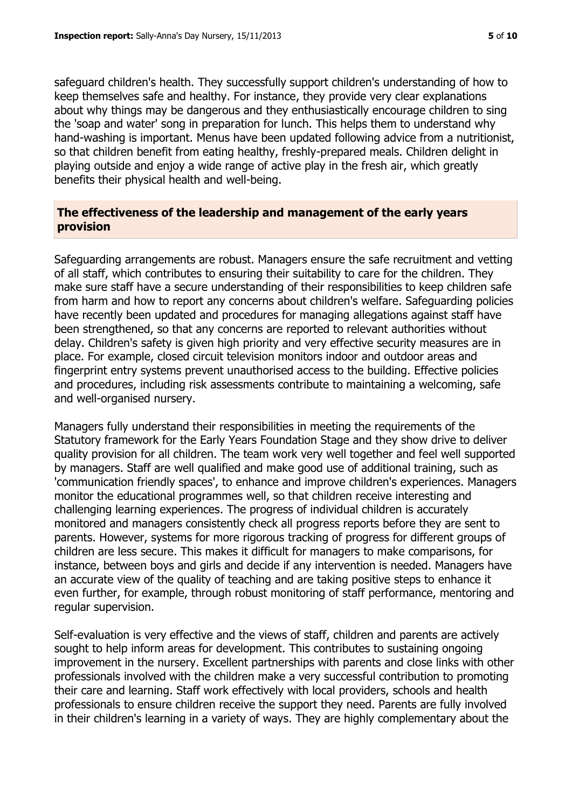safeguard children's health. They successfully support children's understanding of how to keep themselves safe and healthy. For instance, they provide very clear explanations about why things may be dangerous and they enthusiastically encourage children to sing the 'soap and water' song in preparation for lunch. This helps them to understand why hand-washing is important. Menus have been updated following advice from a nutritionist, so that children benefit from eating healthy, freshly-prepared meals. Children delight in playing outside and enjoy a wide range of active play in the fresh air, which greatly benefits their physical health and well-being.

# **The effectiveness of the leadership and management of the early years provision**

Safeguarding arrangements are robust. Managers ensure the safe recruitment and vetting of all staff, which contributes to ensuring their suitability to care for the children. They make sure staff have a secure understanding of their responsibilities to keep children safe from harm and how to report any concerns about children's welfare. Safeguarding policies have recently been updated and procedures for managing allegations against staff have been strengthened, so that any concerns are reported to relevant authorities without delay. Children's safety is given high priority and very effective security measures are in place. For example, closed circuit television monitors indoor and outdoor areas and fingerprint entry systems prevent unauthorised access to the building. Effective policies and procedures, including risk assessments contribute to maintaining a welcoming, safe and well-organised nursery.

Managers fully understand their responsibilities in meeting the requirements of the Statutory framework for the Early Years Foundation Stage and they show drive to deliver quality provision for all children. The team work very well together and feel well supported by managers. Staff are well qualified and make good use of additional training, such as 'communication friendly spaces', to enhance and improve children's experiences. Managers monitor the educational programmes well, so that children receive interesting and challenging learning experiences. The progress of individual children is accurately monitored and managers consistently check all progress reports before they are sent to parents. However, systems for more rigorous tracking of progress for different groups of children are less secure. This makes it difficult for managers to make comparisons, for instance, between boys and girls and decide if any intervention is needed. Managers have an accurate view of the quality of teaching and are taking positive steps to enhance it even further, for example, through robust monitoring of staff performance, mentoring and regular supervision.

Self-evaluation is very effective and the views of staff, children and parents are actively sought to help inform areas for development. This contributes to sustaining ongoing improvement in the nursery. Excellent partnerships with parents and close links with other professionals involved with the children make a very successful contribution to promoting their care and learning. Staff work effectively with local providers, schools and health professionals to ensure children receive the support they need. Parents are fully involved in their children's learning in a variety of ways. They are highly complementary about the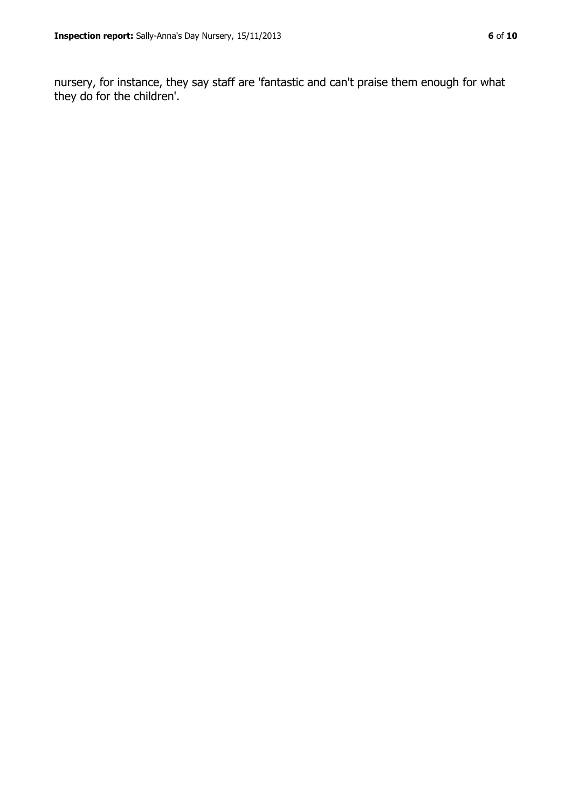nursery, for instance, they say staff are 'fantastic and can't praise them enough for what they do for the children'.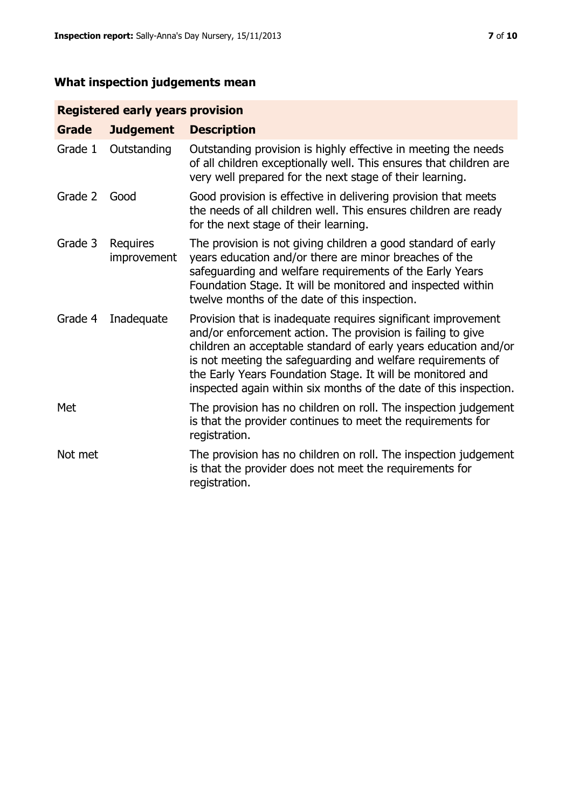# **What inspection judgements mean**

# **Registered early years provision**

| <b>Grade</b> | <b>Judgement</b>        | <b>Description</b>                                                                                                                                                                                                                                                                                                                                                                                |
|--------------|-------------------------|---------------------------------------------------------------------------------------------------------------------------------------------------------------------------------------------------------------------------------------------------------------------------------------------------------------------------------------------------------------------------------------------------|
| Grade 1      | Outstanding             | Outstanding provision is highly effective in meeting the needs<br>of all children exceptionally well. This ensures that children are<br>very well prepared for the next stage of their learning.                                                                                                                                                                                                  |
| Grade 2      | Good                    | Good provision is effective in delivering provision that meets<br>the needs of all children well. This ensures children are ready<br>for the next stage of their learning.                                                                                                                                                                                                                        |
| Grade 3      | Requires<br>improvement | The provision is not giving children a good standard of early<br>years education and/or there are minor breaches of the<br>safeguarding and welfare requirements of the Early Years<br>Foundation Stage. It will be monitored and inspected within<br>twelve months of the date of this inspection.                                                                                               |
| Grade 4      | Inadequate              | Provision that is inadequate requires significant improvement<br>and/or enforcement action. The provision is failing to give<br>children an acceptable standard of early years education and/or<br>is not meeting the safeguarding and welfare requirements of<br>the Early Years Foundation Stage. It will be monitored and<br>inspected again within six months of the date of this inspection. |
| Met          |                         | The provision has no children on roll. The inspection judgement<br>is that the provider continues to meet the requirements for<br>registration.                                                                                                                                                                                                                                                   |
| Not met      |                         | The provision has no children on roll. The inspection judgement<br>is that the provider does not meet the requirements for<br>registration.                                                                                                                                                                                                                                                       |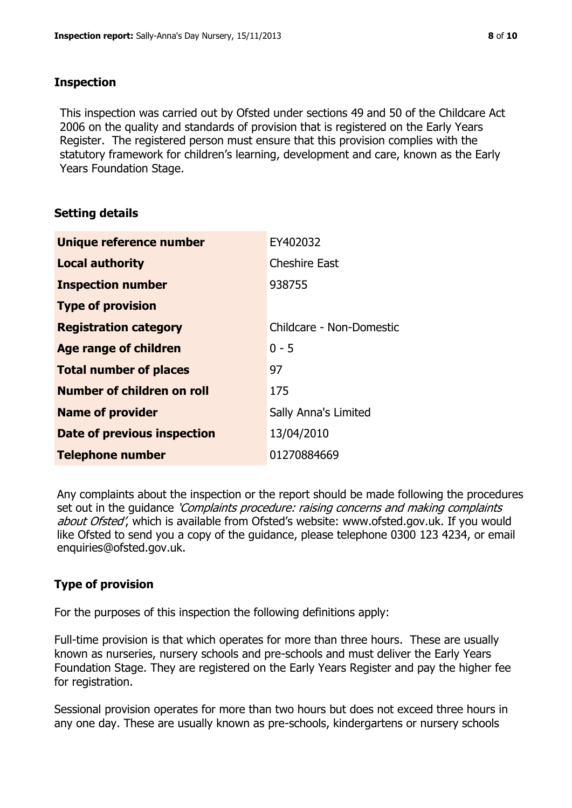# **Inspection**

This inspection was carried out by Ofsted under sections 49 and 50 of the Childcare Act 2006 on the quality and standards of provision that is registered on the Early Years Register. The registered person must ensure that this provision complies with the statutory framework for children's learning, development and care, known as the Early Years Foundation Stage.

# **Setting details**

| Unique reference number       | EY402032                    |
|-------------------------------|-----------------------------|
| <b>Local authority</b>        | <b>Cheshire East</b>        |
| <b>Inspection number</b>      | 938755                      |
| <b>Type of provision</b>      |                             |
| <b>Registration category</b>  | Childcare - Non-Domestic    |
| <b>Age range of children</b>  | $0 - 5$                     |
| <b>Total number of places</b> | 97                          |
| Number of children on roll    | 175                         |
| <b>Name of provider</b>       | <b>Sally Anna's Limited</b> |
| Date of previous inspection   | 13/04/2010                  |
| <b>Telephone number</b>       | 01270884669                 |

Any complaints about the inspection or the report should be made following the procedures set out in the guidance *'Complaints procedure: raising concerns and making complaints* about Ofsted', which is available from Ofsted's website: www.ofsted.gov.uk. If you would like Ofsted to send you a copy of the guidance, please telephone 0300 123 4234, or email enquiries@ofsted.gov.uk.

# **Type of provision**

For the purposes of this inspection the following definitions apply:

Full-time provision is that which operates for more than three hours. These are usually known as nurseries, nursery schools and pre-schools and must deliver the Early Years Foundation Stage. They are registered on the Early Years Register and pay the higher fee for registration.

Sessional provision operates for more than two hours but does not exceed three hours in any one day. These are usually known as pre-schools, kindergartens or nursery schools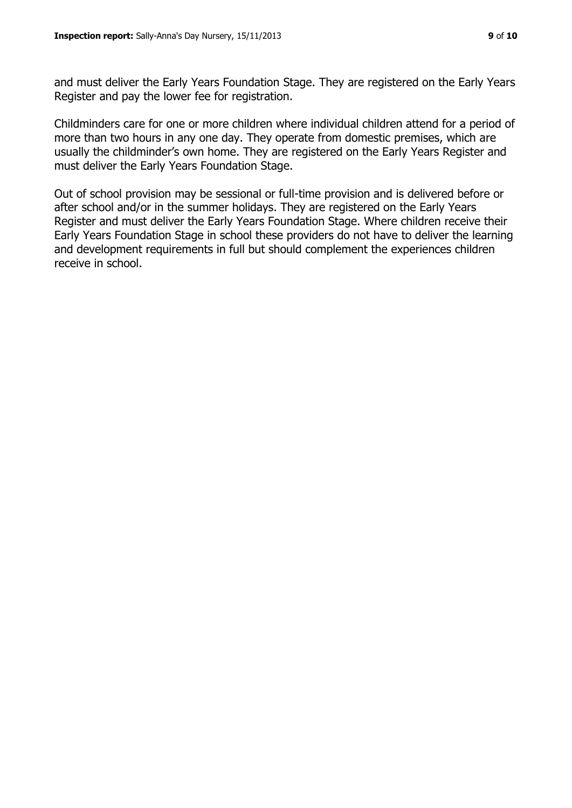and must deliver the Early Years Foundation Stage. They are registered on the Early Years Register and pay the lower fee for registration.

Childminders care for one or more children where individual children attend for a period of more than two hours in any one day. They operate from domestic premises, which are usually the childminder's own home. They are registered on the Early Years Register and must deliver the Early Years Foundation Stage.

Out of school provision may be sessional or full-time provision and is delivered before or after school and/or in the summer holidays. They are registered on the Early Years Register and must deliver the Early Years Foundation Stage. Where children receive their Early Years Foundation Stage in school these providers do not have to deliver the learning and development requirements in full but should complement the experiences children receive in school.